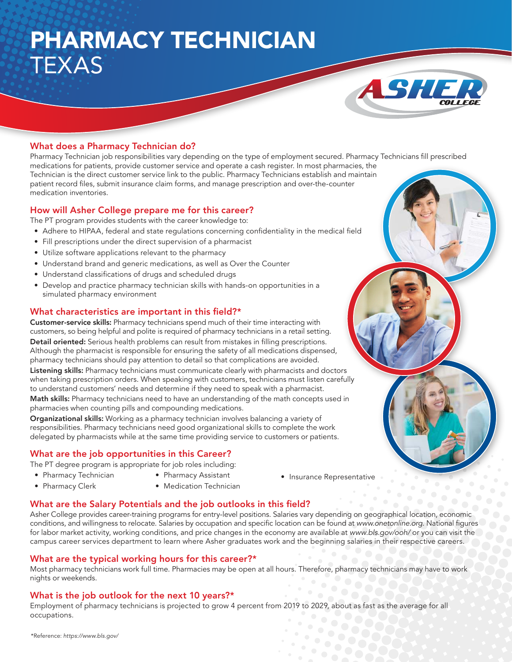# PHARMACY TECHNICIAN TEXAS



## What does a Pharmacy Technician do?

Pharmacy Technician job responsibilities vary depending on the type of employment secured. Pharmacy Technicians fill prescribed medications for patients, provide customer service and operate a cash register. In most pharmacies, the Technician is the direct customer service link to the public. Pharmacy Technicians establish and maintain patient record files, submit insurance claim forms, and manage prescription and over-the-counter medication inventories.

#### How will Asher College prepare me for this career?

The PT program provides students with the career knowledge to:

- Adhere to HIPAA, federal and state regulations concerning confidentiality in the medical field
- Fill prescriptions under the direct supervision of a pharmacist
- Utilize software applications relevant to the pharmacy
- Understand brand and generic medications, as well as Over the Counter
- Understand classifications of drugs and scheduled drugs
- Develop and practice pharmacy technician skills with hands-on opportunities in a simulated pharmacy environment

#### What characteristics are important in this field?\*

Customer-service skills: Pharmacy technicians spend much of their time interacting with customers, so being helpful and polite is required of pharmacy technicians in a retail setting. Detail oriented: Serious health problems can result from mistakes in filling prescriptions. Although the pharmacist is responsible for ensuring the safety of all medications dispensed, pharmacy technicians should pay attention to detail so that complications are avoided.

Listening skills: Pharmacy technicians must communicate clearly with pharmacists and doctors when taking prescription orders. When speaking with customers, technicians must listen carefully to understand customers' needs and determine if they need to speak with a pharmacist.

Math skills: Pharmacy technicians need to have an understanding of the math concepts used in pharmacies when counting pills and compounding medications.

Organizational skills: Working as a pharmacy technician involves balancing a variety of responsibilities. Pharmacy technicians need good organizational skills to complete the work delegated by pharmacists while at the same time providing service to customers or patients.

### What are the job opportunities in this Career?

The PT degree program is appropriate for job roles including:

- Pharmacy Technician
- Pharmacy Assistant
- Pharmacy Clerk
- Medication Technician
- Insurance Representative

### What are the Salary Potentials and the job outlooks in this field?

Asher College provides career-training programs for entry-level positions. Salaries vary depending on geographical location, economic conditions, and willingness to relocate. Salaries by occupation and specific location can be found at www.onetonline.org. National figures for labor market activity, working conditions, and price changes in the economy are available at www.bls.gov/ooh/ or you can visit the campus career services department to learn where Asher graduates work and the beginning salaries in their respective careers.

### What are the typical working hours for this career?\*

Most pharmacy technicians work full time. Pharmacies may be open at all hours. Therefore, pharmacy technicians may have to work nights or weekends.

### What is the job outlook for the next 10 years?\*

Employment of pharmacy technicians is projected to grow 4 percent from 2019 to 2029, about as fast as the average for all occupations.